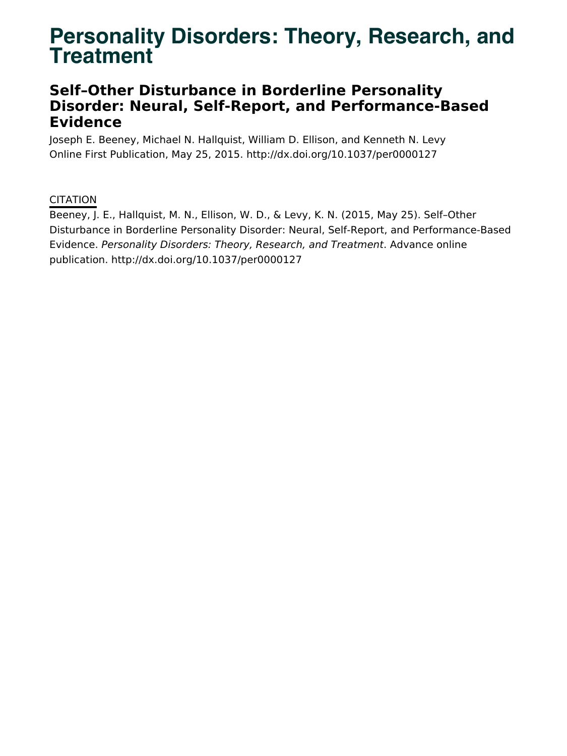# **Personality Disorders: Theory, Research, and Treatment**

## **Self–Other Disturbance in Borderline Personality Disorder: Neural, Self-Report, and Performance-Based Evidence**

Joseph E. Beeney, Michael N. Hallquist, William D. Ellison, and Kenneth N. Levy Online First Publication, May 25, 2015. http://dx.doi.org/10.1037/per0000127

## **CITATION**

Beeney, J. E., Hallquist, M. N., Ellison, W. D., & Levy, K. N. (2015, May 25). Self–Other Disturbance in Borderline Personality Disorder: Neural, Self-Report, and Performance-Based Evidence. Personality Disorders: Theory, Research, and Treatment. Advance online publication. http://dx.doi.org/10.1037/per0000127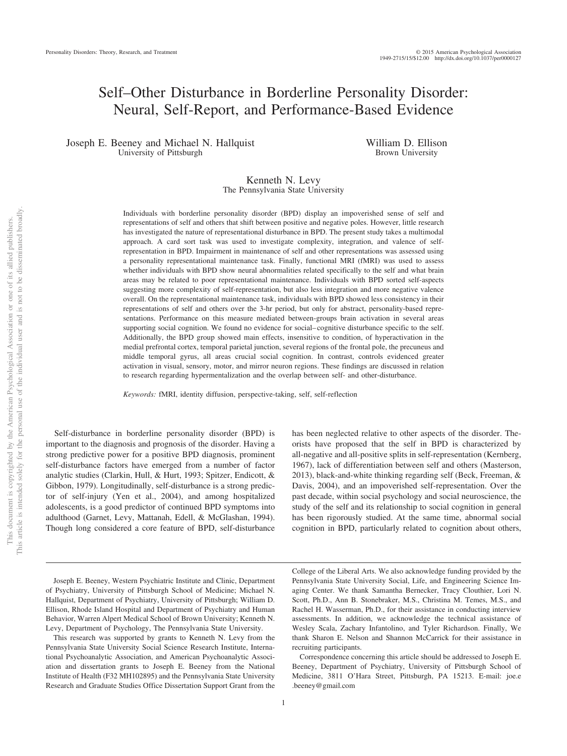## Self–Other Disturbance in Borderline Personality Disorder: Neural, Self-Report, and Performance-Based Evidence

Joseph E. Beeney and Michael N. Hallquist University of Pittsburgh

William D. Ellison Brown University

## Kenneth N. Levy The Pennsylvania State University

Individuals with borderline personality disorder (BPD) display an impoverished sense of self and representations of self and others that shift between positive and negative poles. However, little research has investigated the nature of representational disturbance in BPD. The present study takes a multimodal approach. A card sort task was used to investigate complexity, integration, and valence of selfrepresentation in BPD. Impairment in maintenance of self and other representations was assessed using a personality representational maintenance task. Finally, functional MRI (fMRI) was used to assess whether individuals with BPD show neural abnormalities related specifically to the self and what brain areas may be related to poor representational maintenance. Individuals with BPD sorted self-aspects suggesting more complexity of self-representation, but also less integration and more negative valence overall. On the representational maintenance task, individuals with BPD showed less consistency in their representations of self and others over the 3-hr period, but only for abstract, personality-based representations. Performance on this measure mediated between-groups brain activation in several areas supporting social cognition. We found no evidence for social– cognitive disturbance specific to the self. Additionally, the BPD group showed main effects, insensitive to condition, of hyperactivation in the medial prefrontal cortex, temporal parietal junction, several regions of the frontal pole, the precuneus and middle temporal gyrus, all areas crucial social cognition. In contrast, controls evidenced greater activation in visual, sensory, motor, and mirror neuron regions. These findings are discussed in relation to research regarding hypermentalization and the overlap between self- and other-disturbance.

*Keywords:* fMRI, identity diffusion, perspective-taking, self, self-reflection

Self-disturbance in borderline personality disorder (BPD) is important to the diagnosis and prognosis of the disorder. Having a strong predictive power for a positive BPD diagnosis, prominent self-disturbance factors have emerged from a number of factor analytic studies (Clarkin, Hull, & Hurt, 1993; Spitzer, Endicott, & Gibbon, 1979). Longitudinally, self-disturbance is a strong predictor of self-injury (Yen et al., 2004), and among hospitalized adolescents, is a good predictor of continued BPD symptoms into adulthood (Garnet, Levy, Mattanah, Edell, & McGlashan, 1994). Though long considered a core feature of BPD, self-disturbance

Joseph E. Beeney, Western Psychiatric Institute and Clinic, Department of Psychiatry, University of Pittsburgh School of Medicine; Michael N. Hallquist, Department of Psychiatry, University of Pittsburgh; William D. Ellison, Rhode Island Hospital and Department of Psychiatry and Human Behavior, Warren Alpert Medical School of Brown University; Kenneth N. Levy, Department of Psychology, The Pennsylvania State University.

This research was supported by grants to Kenneth N. Levy from the Pennsylvania State University Social Science Research Institute, International Psychoanalytic Association, and American Psychoanalytic Association and dissertation grants to Joseph E. Beeney from the National Institute of Health (F32 MH102895) and the Pennsylvania State University Research and Graduate Studies Office Dissertation Support Grant from the has been neglected relative to other aspects of the disorder. Theorists have proposed that the self in BPD is characterized by all-negative and all-positive splits in self-representation (Kernberg, 1967), lack of differentiation between self and others (Masterson, 2013), black-and-white thinking regarding self (Beck, Freeman, & Davis, 2004), and an impoverished self-representation. Over the past decade, within social psychology and social neuroscience, the study of the self and its relationship to social cognition in general has been rigorously studied. At the same time, abnormal social cognition in BPD, particularly related to cognition about others,

College of the Liberal Arts. We also acknowledge funding provided by the Pennsylvania State University Social, Life, and Engineering Science Imaging Center. We thank Samantha Bernecker, Tracy Clouthier, Lori N. Scott, Ph.D., Ann B. Stonebraker, M.S., Christina M. Temes, M.S., and Rachel H. Wasserman, Ph.D., for their assistance in conducting interview assessments. In addition, we acknowledge the technical assistance of Wesley Scala, Zachary Infantolino, and Tyler Richardson. Finally, We thank Sharon E. Nelson and Shannon McCarrick for their assistance in recruiting participants.

Correspondence concerning this article should be addressed to Joseph E. Beeney, Department of Psychiatry, University of Pittsburgh School of Medicine, 3811 O'Hara Street, Pittsburgh, PA 15213. E-mail: joe.e .beeney@gmail.com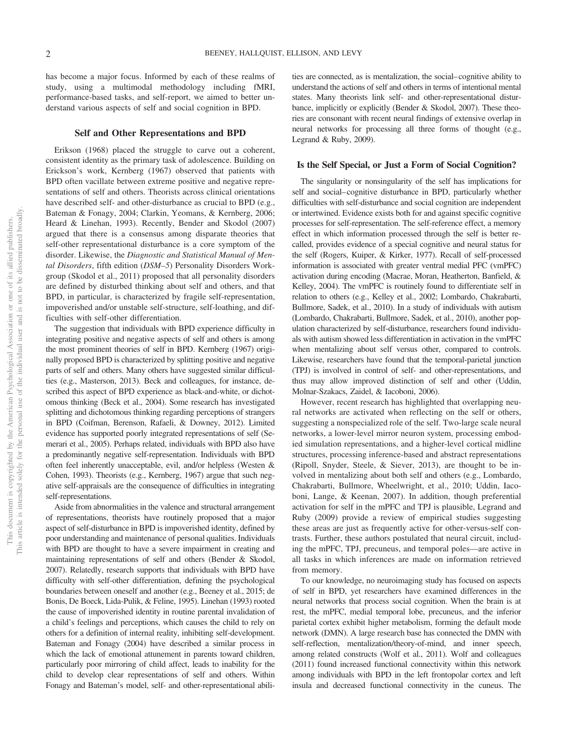has become a major focus. Informed by each of these realms of study, using a multimodal methodology including fMRI, performance-based tasks, and self-report, we aimed to better understand various aspects of self and social cognition in BPD.

#### **Self and Other Representations and BPD**

Erikson (1968) placed the struggle to carve out a coherent, consistent identity as the primary task of adolescence. Building on Erickson's work, Kernberg (1967) observed that patients with BPD often vacillate between extreme positive and negative representations of self and others. Theorists across clinical orientations have described self- and other-disturbance as crucial to BPD (e.g., Bateman & Fonagy, 2004; Clarkin, Yeomans, & Kernberg, 2006; Heard & Linehan, 1993). Recently, Bender and Skodol (2007) argued that there is a consensus among disparate theories that self-other representational disturbance is a core symptom of the disorder. Likewise, the *Diagnostic and Statistical Manual of Mental Disorders*, fifth edition (*DSM–5*) Personality Disorders Workgroup (Skodol et al., 2011) proposed that all personality disorders are defined by disturbed thinking about self and others, and that BPD, in particular, is characterized by fragile self-representation, impoverished and/or unstable self-structure, self-loathing, and difficulties with self-other differentiation.

The suggestion that individuals with BPD experience difficulty in integrating positive and negative aspects of self and others is among the most prominent theories of self in BPD. Kernberg (1967) originally proposed BPD is characterized by splitting positive and negative parts of self and others. Many others have suggested similar difficulties (e.g., Masterson, 2013). Beck and colleagues, for instance, described this aspect of BPD experience as black-and-white, or dichotomous thinking (Beck et al., 2004). Some research has investigated splitting and dichotomous thinking regarding perceptions of strangers in BPD (Coifman, Berenson, Rafaeli, & Downey, 2012). Limited evidence has supported poorly integrated representations of self (Semerari et al., 2005). Perhaps related, individuals with BPD also have a predominantly negative self-representation. Individuals with BPD often feel inherently unacceptable, evil, and/or helpless (Westen & Cohen, 1993). Theorists (e.g., Kernberg, 1967) argue that such negative self-appraisals are the consequence of difficulties in integrating self-representations.

Aside from abnormalities in the valence and structural arrangement of representations, theorists have routinely proposed that a major aspect of self-disturbance in BPD is impoverished identity, defined by poor understanding and maintenance of personal qualities. Individuals with BPD are thought to have a severe impairment in creating and maintaining representations of self and others (Bender & Skodol, 2007). Relatedly, research supports that individuals with BPD have difficulty with self-other differentiation, defining the psychological boundaries between oneself and another (e.g., Beeney et al., 2015; de Bonis, De Boeck, Lida-Pulik, & Feline, 1995). Linehan (1993) rooted the cause of impoverished identity in routine parental invalidation of a child's feelings and perceptions, which causes the child to rely on others for a definition of internal reality, inhibiting self-development. Bateman and Fonagy (2004) have described a similar process in which the lack of emotional attunement in parents toward children, particularly poor mirroring of child affect, leads to inability for the child to develop clear representations of self and others. Within Fonagy and Bateman's model, self- and other-representational abili-

ties are connected, as is mentalization, the social–cognitive ability to understand the actions of self and others in terms of intentional mental states. Many theorists link self- and other-representational disturbance, implicitly or explicitly (Bender & Skodol, 2007). These theories are consonant with recent neural findings of extensive overlap in neural networks for processing all three forms of thought (e.g., Legrand & Ruby, 2009).

#### **Is the Self Special, or Just a Form of Social Cognition?**

The singularity or nonsingularity of the self has implications for self and social–cognitive disturbance in BPD, particularly whether difficulties with self-disturbance and social cognition are independent or intertwined. Evidence exists both for and against specific cognitive processes for self-representation. The self-reference effect, a memory effect in which information processed through the self is better recalled, provides evidence of a special cognitive and neural status for the self (Rogers, Kuiper, & Kirker, 1977). Recall of self-processed information is associated with greater ventral medial PFC (vmPFC) activation during encoding (Macrae, Moran, Heatherton, Banfield, & Kelley, 2004). The vmPFC is routinely found to differentiate self in relation to others (e.g., Kelley et al., 2002; Lombardo, Chakrabarti, Bullmore, Sadek, et al., 2010). In a study of individuals with autism (Lombardo, Chakrabarti, Bullmore, Sadek, et al., 2010), another population characterized by self-disturbance, researchers found individuals with autism showed less differentiation in activation in the vmPFC when mentalizing about self versus other, compared to controls. Likewise, researchers have found that the temporal-parietal junction (TPJ) is involved in control of self- and other-representations, and thus may allow improved distinction of self and other (Uddin, Molnar-Szakacs, Zaidel, & Iacoboni, 2006).

However, recent research has highlighted that overlapping neural networks are activated when reflecting on the self or others, suggesting a nonspecialized role of the self. Two-large scale neural networks, a lower-level mirror neuron system, processing embodied simulation representations, and a higher-level cortical midline structures, processing inference-based and abstract representations (Ripoll, Snyder, Steele, & Siever, 2013), are thought to be involved in mentalizing about both self and others (e.g., Lombardo, Chakrabarti, Bullmore, Wheelwright, et al., 2010; Uddin, Iacoboni, Lange, & Keenan, 2007). In addition, though preferential activation for self in the mPFC and TPJ is plausible, Legrand and Ruby (2009) provide a review of empirical studies suggesting these areas are just as frequently active for other-versus-self contrasts. Further, these authors postulated that neural circuit, including the mPFC, TPJ, precuneus, and temporal poles—are active in all tasks in which inferences are made on information retrieved from memory.

To our knowledge, no neuroimaging study has focused on aspects of self in BPD, yet researchers have examined differences in the neural networks that process social cognition. When the brain is at rest, the mPFC, medial temporal lobe, precuneus, and the inferior parietal cortex exhibit higher metabolism, forming the default mode network (DMN). A large research base has connected the DMN with self-reflection, mentalization/theory-of-mind, and inner speech, among related constructs (Wolf et al., 2011). Wolf and colleagues (2011) found increased functional connectivity within this network among individuals with BPD in the left frontopolar cortex and left insula and decreased functional connectivity in the cuneus. The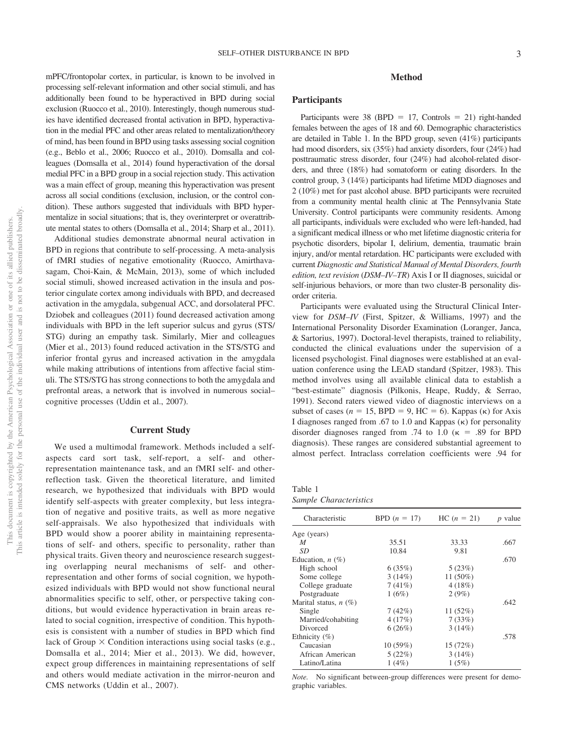mPFC/frontopolar cortex, in particular, is known to be involved in processing self-relevant information and other social stimuli, and has additionally been found to be hyperactived in BPD during social exclusion (Ruocco et al., 2010). Interestingly, though numerous studies have identified decreased frontal activation in BPD, hyperactivation in the medial PFC and other areas related to mentalization/theory of mind, has been found in BPD using tasks assessing social cognition (e.g., Beblo et al., 2006; Ruocco et al., 2010). Domsalla and colleagues (Domsalla et al., 2014) found hyperactivation of the dorsal medial PFC in a BPD group in a social rejection study. This activation was a main effect of group, meaning this hyperactivation was present across all social conditions (exclusion, inclusion, or the control condition). These authors suggested that individuals with BPD hypermentalize in social situations; that is, they overinterpret or overattribute mental states to others (Domsalla et al., 2014; Sharp et al., 2011).

Additional studies demonstrate abnormal neural activation in BPD in regions that contribute to self-processing. A meta-analysis of fMRI studies of negative emotionality (Ruocco, Amirthavasagam, Choi-Kain, & McMain, 2013), some of which included social stimuli, showed increased activation in the insula and posterior cingulate cortex among individuals with BPD, and decreased activation in the amygdala, subgenual ACC, and dorsolateral PFC. Dziobek and colleagues (2011) found decreased activation among individuals with BPD in the left superior sulcus and gyrus (STS/ STG) during an empathy task. Similarly, Mier and colleagues (Mier et al., 2013) found reduced activation in the STS/STG and inferior frontal gyrus and increased activation in the amygdala while making attributions of intentions from affective facial stimuli. The STS/STG has strong connections to both the amygdala and prefrontal areas, a network that is involved in numerous social– cognitive processes (Uddin et al., 2007).

## **Current Study**

We used a multimodal framework. Methods included a selfaspects card sort task, self-report, a self- and otherrepresentation maintenance task, and an fMRI self- and otherreflection task. Given the theoretical literature, and limited research, we hypothesized that individuals with BPD would identify self-aspects with greater complexity, but less integration of negative and positive traits, as well as more negative self-appraisals. We also hypothesized that individuals with BPD would show a poorer ability in maintaining representations of self- and others, specific to personality, rather than physical traits. Given theory and neuroscience research suggesting overlapping neural mechanisms of self- and otherrepresentation and other forms of social cognition, we hypothesized individuals with BPD would not show functional neural abnormalities specific to self, other, or perspective taking conditions, but would evidence hyperactivation in brain areas related to social cognition, irrespective of condition. This hypothesis is consistent with a number of studies in BPD which find lack of Group  $\times$  Condition interactions using social tasks (e.g., Domsalla et al., 2014; Mier et al., 2013). We did, however, expect group differences in maintaining representations of self and others would mediate activation in the mirror-neuron and CMS networks (Uddin et al., 2007).

## **Method**

## **Participants**

Participants were 38 (BPD  $= 17$ , Controls  $= 21$ ) right-handed females between the ages of 18 and 60. Demographic characteristics are detailed in Table 1. In the BPD group, seven (41%) participants had mood disorders, six (35%) had anxiety disorders, four (24%) had posttraumatic stress disorder, four (24%) had alcohol-related disorders, and three (18%) had somatoform or eating disorders. In the control group, 3 (14%) participants had lifetime MDD diagnoses and 2 (10%) met for past alcohol abuse. BPD participants were recruited from a community mental health clinic at The Pennsylvania State University. Control participants were community residents. Among all participants, individuals were excluded who were left-handed, had a significant medical illness or who met lifetime diagnostic criteria for psychotic disorders, bipolar I, delirium, dementia, traumatic brain injury, and/or mental retardation. HC participants were excluded with current *Diagnostic and Statistical Manual of Mental Disorders, fourth edition, text revision* (*DSM–IV–TR*) Axis I or II diagnoses, suicidal or self-injurious behaviors, or more than two cluster-B personality disorder criteria.

Participants were evaluated using the Structural Clinical Interview for *DSM–IV* (First, Spitzer, & Williams, 1997) and the International Personality Disorder Examination (Loranger, Janca, & Sartorius, 1997). Doctoral-level therapists, trained to reliability, conducted the clinical evaluations under the supervision of a licensed psychologist. Final diagnoses were established at an evaluation conference using the LEAD standard (Spitzer, 1983). This method involves using all available clinical data to establish a "best-estimate" diagnosis (Pilkonis, Heape, Ruddy, & Serrao, 1991). Second raters viewed video of diagnostic interviews on a subset of cases ( $n = 15$ , BPD = 9, HC = 6). Kappas ( $\kappa$ ) for Axis I diagnoses ranged from .67 to 1.0 and Kappas  $(\kappa)$  for personality disorder diagnoses ranged from .74 to 1.0 ( $\kappa$  = .89 for BPD diagnosis). These ranges are considered substantial agreement to almost perfect. Intraclass correlation coefficients were .94 for

| Table 1 |                        |
|---------|------------------------|
|         | Sample Characteristics |

| Characteristic          | $BPD (n = 17)$ | $HC (n = 21)$ | <i>p</i> value |
|-------------------------|----------------|---------------|----------------|
| Age (years)             |                |               |                |
| M                       | 35.51          | 33.33         | .667           |
| SD                      | 10.84          | 9.81          |                |
| Education, $n$ (%)      |                |               | .670           |
| High school             | 6(35%)         | 5(23%)        |                |
| Some college            | 3(14%)         | $11(50\%)$    |                |
| College graduate        | 7(41%)         | 4(18%)        |                |
| Postgraduate            | 1(6%)          | 2(9%)         |                |
| Marital status, $n$ (%) |                |               | .642           |
| Single                  | 7(42%)         | 11(52%)       |                |
| Married/cohabiting      | 4(17%)         | 7(33%)        |                |
| Divorced                | 6(26%)         | 3(14%)        |                |
| Ethnicity $(\%)$        |                |               | .578           |
| Caucasian               | 10(59%)        | 15(72%)       |                |
| African American        | 5(22%)         | 3(14%)        |                |
| Latino/Latina           | 1(4%)          | 1(5%)         |                |
|                         |                |               |                |

*Note.* No significant between-group differences were present for demographic variables.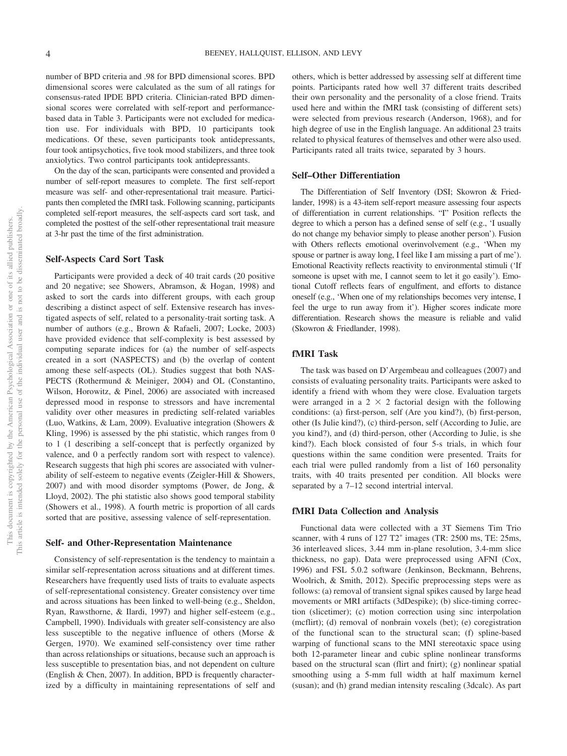number of BPD criteria and .98 for BPD dimensional scores. BPD dimensional scores were calculated as the sum of all ratings for consensus-rated IPDE BPD criteria. Clinician-rated BPD dimensional scores were correlated with self-report and performancebased data in Table 3. Participants were not excluded for medication use. For individuals with BPD, 10 participants took medications. Of these, seven participants took antidepressants, four took antipsychotics, five took mood stabilizers, and three took anxiolytics. Two control participants took antidepressants.

On the day of the scan, participants were consented and provided a number of self-report measures to complete. The first self-report measure was self- and other-representational trait measure. Participants then completed the fMRI task. Following scanning, participants completed self-report measures, the self-aspects card sort task, and completed the posttest of the self-other representational trait measure at 3-hr past the time of the first administration.

## **Self-Aspects Card Sort Task**

Participants were provided a deck of 40 trait cards (20 positive and 20 negative; see Showers, Abramson, & Hogan, 1998) and asked to sort the cards into different groups, with each group describing a distinct aspect of self. Extensive research has investigated aspects of self, related to a personality-trait sorting task. A number of authors (e.g., Brown & Rafaeli, 2007; Locke, 2003) have provided evidence that self-complexity is best assessed by computing separate indices for (a) the number of self-aspects created in a sort (NASPECTS) and (b) the overlap of content among these self-aspects (OL). Studies suggest that both NAS-PECTS (Rothermund & Meiniger, 2004) and OL (Constantino, Wilson, Horowitz, & Pinel, 2006) are associated with increased depressed mood in response to stressors and have incremental validity over other measures in predicting self-related variables (Luo, Watkins, & Lam, 2009). Evaluative integration (Showers & Kling, 1996) is assessed by the phi statistic, which ranges from 0 to 1 (1 describing a self-concept that is perfectly organized by valence, and 0 a perfectly random sort with respect to valence). Research suggests that high phi scores are associated with vulnerability of self-esteem to negative events (Zeigler-Hill & Showers, 2007) and with mood disorder symptoms (Power, de Jong, & Lloyd, 2002). The phi statistic also shows good temporal stability (Showers et al., 1998). A fourth metric is proportion of all cards sorted that are positive, assessing valence of self-representation.

#### **Self- and Other-Representation Maintenance**

Consistency of self-representation is the tendency to maintain a similar self-representation across situations and at different times. Researchers have frequently used lists of traits to evaluate aspects of self-representational consistency. Greater consistency over time and across situations has been linked to well-being (e.g., Sheldon, Ryan, Rawsthorne, & Ilardi, 1997) and higher self-esteem (e.g., Campbell, 1990). Individuals with greater self-consistency are also less susceptible to the negative influence of others (Morse & Gergen, 1970). We examined self-consistency over time rather than across relationships or situations, because such an approach is less susceptible to presentation bias, and not dependent on culture (English & Chen, 2007). In addition, BPD is frequently characterized by a difficulty in maintaining representations of self and others, which is better addressed by assessing self at different time points. Participants rated how well 37 different traits described their own personality and the personality of a close friend. Traits used here and within the fMRI task (consisting of different sets) were selected from previous research (Anderson, 1968), and for high degree of use in the English language. An additional 23 traits related to physical features of themselves and other were also used. Participants rated all traits twice, separated by 3 hours.

### **Self–Other Differentiation**

The Differentiation of Self Inventory (DSI; Skowron & Friedlander, 1998) is a 43-item self-report measure assessing four aspects of differentiation in current relationships. "I" Position reflects the degree to which a person has a defined sense of self (e.g., 'I usually do not change my behavior simply to please another person'). Fusion with Others reflects emotional overinvolvement (e.g., 'When my spouse or partner is away long, I feel like I am missing a part of me'). Emotional Reactivity reflects reactivity to environmental stimuli ('If someone is upset with me, I cannot seem to let it go easily'). Emotional Cutoff reflects fears of engulfment, and efforts to distance oneself (e.g., 'When one of my relationships becomes very intense, I feel the urge to run away from it'). Higher scores indicate more differentiation. Research shows the measure is reliable and valid (Skowron & Friedlander, 1998).

## **fMRI Task**

The task was based on D'Argembeau and colleagues (2007) and consists of evaluating personality traits. Participants were asked to identify a friend with whom they were close. Evaluation targets were arranged in a  $2 \times 2$  factorial design with the following conditions: (a) first-person, self (Are you kind?), (b) first-person, other (Is Julie kind?), (c) third-person, self (According to Julie, are you kind?), and (d) third-person, other (According to Julie, is she kind?). Each block consisted of four 5-s trials, in which four questions within the same condition were presented. Traits for each trial were pulled randomly from a list of 160 personality traits, with 40 traits presented per condition. All blocks were separated by a 7–12 second intertrial interval.

### **fMRI Data Collection and Analysis**

Functional data were collected with a 3T Siemens Tim Trio scanner, with 4 runs of  $127 T2$ <sup>\*</sup> images (TR:  $2500$  ms, TE:  $25ms$ , 36 interleaved slices, 3.44 mm in-plane resolution, 3.4-mm slice thickness, no gap). Data were preprocessed using AFNI (Cox, 1996) and FSL 5.0.2 software (Jenkinson, Beckmann, Behrens, Woolrich, & Smith, 2012). Specific preprocessing steps were as follows: (a) removal of transient signal spikes caused by large head movements or MRI artifacts (3dDespike); (b) slice-timing correction (slicetimer); (c) motion correction using sinc interpolation (mcflirt); (d) removal of nonbrain voxels (bet); (e) coregistration of the functional scan to the structural scan; (f) spline-based warping of functional scans to the MNI stereotaxic space using both 12-parameter linear and cubic spline nonlinear transforms based on the structural scan (flirt and fnirt); (g) nonlinear spatial smoothing using a 5-mm full width at half maximum kernel (susan); and (h) grand median intensity rescaling (3dcalc). As part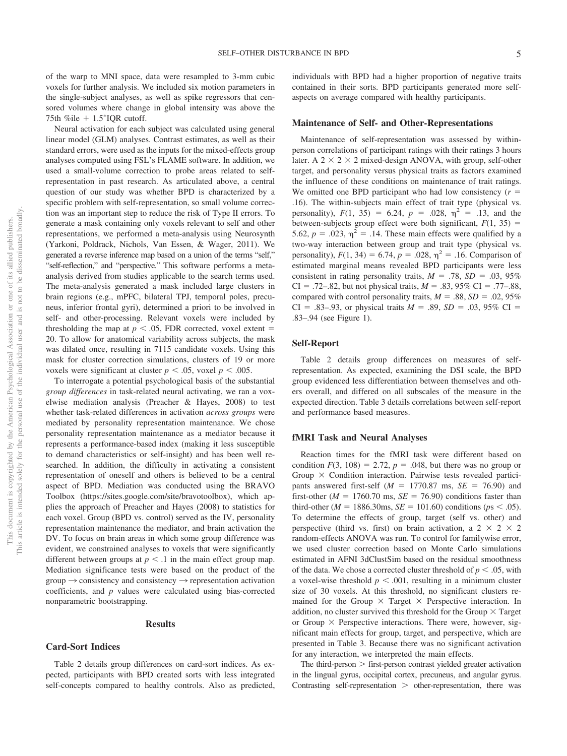of the warp to MNI space, data were resampled to 3-mm cubic voxels for further analysis. We included six motion parameters in the single-subject analyses, as well as spike regressors that censored volumes where change in global intensity was above the 75th %ile  $+ 1.5$ \*IQR cutoff.

Neural activation for each subject was calculated using general linear model (GLM) analyses. Contrast estimates, as well as their standard errors, were used as the inputs for the mixed-effects group analyses computed using FSL's FLAME software. In addition, we used a small-volume correction to probe areas related to selfrepresentation in past research. As articulated above, a central question of our study was whether BPD is characterized by a specific problem with self-representation, so small volume correction was an important step to reduce the risk of Type II errors. To generate a mask containing only voxels relevant to self and other representations, we performed a meta-analysis using Neurosynth (Yarkoni, Poldrack, Nichols, Van Essen, & Wager, 2011). We generated a reverse inference map based on a union of the terms "self," "self-reflection," and "perspective." This software performs a metaanalysis derived from studies applicable to the search terms used. The meta-analysis generated a mask included large clusters in brain regions (e.g., mPFC, bilateral TPJ, temporal poles, precuneus, inferior frontal gyri), determined a priori to be involved in self- and other-processing. Relevant voxels were included by thresholding the map at  $p < .05$ , FDR corrected, voxel extent  $=$ 20. To allow for anatomical variability across subjects, the mask was dilated once, resulting in 7115 candidate voxels. Using this mask for cluster correction simulations, clusters of 19 or more voxels were significant at cluster  $p < .05$ , voxel  $p < .005$ .

To interrogate a potential psychological basis of the substantial *group differences* in task-related neural activating, we ran a voxelwise mediation analysis (Preacher & Hayes, 2008) to test whether task-related differences in activation *across groups* were mediated by personality representation maintenance. We chose personality representation maintenance as a mediator because it represents a performance-based index (making it less susceptible to demand characteristics or self-insight) and has been well researched. In addition, the difficulty in activating a consistent representation of oneself and others is believed to be a central aspect of BPD. Mediation was conducted using the BRAVO Toolbox (https://sites.google.com/site/bravotoolbox), which applies the approach of Preacher and Hayes (2008) to statistics for each voxel. Group (BPD vs. control) served as the IV, personality representation maintenance the mediator, and brain activation the DV. To focus on brain areas in which some group difference was evident, we constrained analyses to voxels that were significantly different between groups at  $p < 0.1$  in the main effect group map. Mediation significance tests were based on the product of the  $group \rightarrow consistency$  and consistency  $\rightarrow representation$  activation coefficients, and *p* values were calculated using bias-corrected nonparametric bootstrapping.

#### **Results**

#### **Card-Sort Indices**

Table 2 details group differences on card-sort indices. As expected, participants with BPD created sorts with less integrated self-concepts compared to healthy controls. Also as predicted,

individuals with BPD had a higher proportion of negative traits contained in their sorts. BPD participants generated more selfaspects on average compared with healthy participants.

#### **Maintenance of Self- and Other-Representations**

Maintenance of self-representation was assessed by withinperson correlations of participant ratings with their ratings 3 hours later. A  $2 \times 2 \times 2$  mixed-design ANOVA, with group, self-other target, and personality versus physical traits as factors examined the influence of these conditions on maintenance of trait ratings. We omitted one BPD participant who had low consistency  $(r =$ .16). The within-subjects main effect of trait type (physical vs. personality),  $F(1, 35) = 6.24$ ,  $p = .028$ ,  $\eta^2 = .13$ , and the between-subjects group effect were both significant,  $F(1, 35)$  = 5.62,  $p = .023$ ,  $\eta^2 = .14$ . These main effects were qualified by a two-way interaction between group and trait type (physical vs. personality),  $F(1, 34) = 6.74$ ,  $p = .028$ ,  $\eta^2 = .16$ . Comparison of estimated marginal means revealed BPD participants were less consistent in rating personality traits,  $M = .78$ ,  $SD = .03$ ,  $95\%$  $CI = .72-.82$ , but not physical traits,  $M = .83, 95\% \text{ CI} = .77-.88$ , compared with control personality traits,  $M = .88$ ,  $SD = .02$ , 95%  $CI = .83-0.93$ , or physical traits  $M = .89$ ,  $SD = .03$ ,  $95\%$  CI = .83–.94 (see Figure 1).

#### **Self-Report**

Table 2 details group differences on measures of selfrepresentation. As expected, examining the DSI scale, the BPD group evidenced less differentiation between themselves and others overall, and differed on all subscales of the measure in the expected direction. Table 3 details correlations between self-report and performance based measures.

#### **fMRI Task and Neural Analyses**

Reaction times for the fMRI task were different based on condition  $F(3, 108) = 2.72$ ,  $p = .048$ , but there was no group or Group  $\times$  Condition interaction. Pairwise tests revealed participants answered first-self  $(M = 1770.87 \text{ ms}, SE = 76.90)$  and first-other ( $M = 1760.70$  ms,  $SE = 76.90$ ) conditions faster than third-other ( $M = 1886.30$ ms,  $SE = 101.60$ ) conditions ( $ps < .05$ ). To determine the effects of group, target (self vs. other) and perspective (third vs. first) on brain activation, a  $2 \times 2 \times 2$ random-effects ANOVA was run. To control for familywise error, we used cluster correction based on Monte Carlo simulations estimated in AFNI 3dClustSim based on the residual smoothness of the data. We chose a corrected cluster threshold of  $p < .05$ , with a voxel-wise threshold  $p < .001$ , resulting in a minimum cluster size of 30 voxels. At this threshold, no significant clusters remained for the Group  $\times$  Target  $\times$  Perspective interaction. In addition, no cluster survived this threshold for the Group  $\times$  Target or Group  $\times$  Perspective interactions. There were, however, significant main effects for group, target, and perspective, which are presented in Table 3. Because there was no significant activation for any interaction, we interpreted the main effects.

The third-person  $>$  first-person contrast yielded greater activation in the lingual gyrus, occipital cortex, precuneus, and angular gyrus. Contrasting self-representation  $>$  other-representation, there was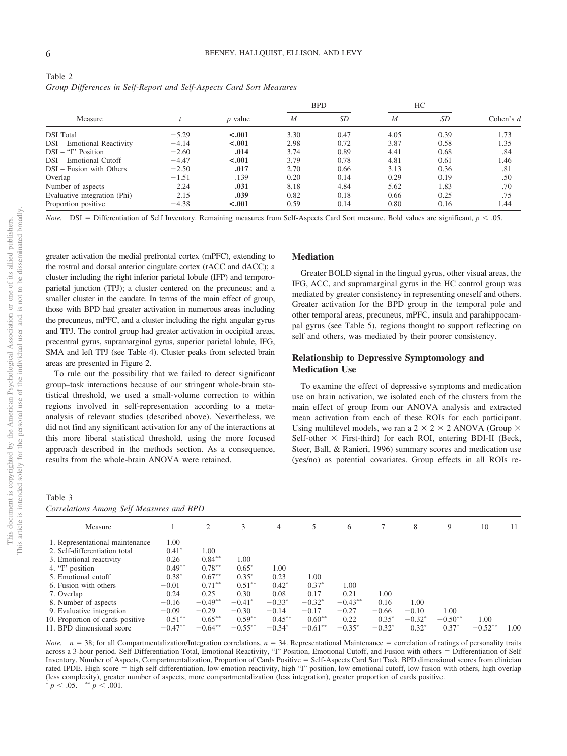| Table 2                                                              |  |  |  |  |
|----------------------------------------------------------------------|--|--|--|--|
| Group Differences in Self-Report and Self-Aspects Card Sort Measures |  |  |  |  |

|                              |         |                |      | <b>BPD</b> | HC   |           |             |
|------------------------------|---------|----------------|------|------------|------|-----------|-------------|
| Measure                      |         | <i>p</i> value | M    | SD         | M    | <i>SD</i> | Cohen's $d$ |
| <b>DSI</b> Total             | $-5.29$ | $-.001$        | 3.30 | 0.47       | 4.05 | 0.39      | 1.73        |
| DSI - Emotional Reactivity   | $-4.14$ | $-.001$        | 2.98 | 0.72       | 3.87 | 0.58      | 1.35        |
| $DSI - "T" Position$         | $-2.60$ | .014           | 3.74 | 0.89       | 4.41 | 0.68      | .84         |
| DSI – Emotional Cutoff       | $-4.47$ | $-.001$        | 3.79 | 0.78       | 4.81 | 0.61      | 1.46        |
| DSI – Fusion with Others     | $-2.50$ | .017           | 2.70 | 0.66       | 3.13 | 0.36      | .81         |
| Overlap                      | $-1.51$ | .139           | 0.20 | 0.14       | 0.29 | 0.19      | .50         |
| Number of aspects            | 2.24    | .031           | 8.18 | 4.84       | 5.62 | 1.83      | .70         |
| Evaluative integration (Phi) | 2.15    | .039           | 0.82 | 0.18       | 0.66 | 0.25      | .75         |
| Proportion positive          | $-4.38$ | $-.001$        | 0.59 | 0.14       | 0.80 | 0.16      | 1.44        |

*Note.* DSI = Differentiation of Self Inventory. Remaining measures from Self-Aspects Card Sort measure. Bold values are significant,  $p < .05$ .

greater activation the medial prefrontal cortex (mPFC), extending to the rostral and dorsal anterior cingulate cortex (rACC and dACC); a cluster including the right inferior parietal lobule (IFP) and temporoparietal junction (TPJ); a cluster centered on the precuneus; and a smaller cluster in the caudate. In terms of the main effect of group, those with BPD had greater activation in numerous areas including the precuneus, mPFC, and a cluster including the right angular gyrus and TPJ. The control group had greater activation in occipital areas, precentral gyrus, supramarginal gyrus, superior parietal lobule, IFG, SMA and left TPJ (see Table 4). Cluster peaks from selected brain areas are presented in Figure 2.

To rule out the possibility that we failed to detect significant group–task interactions because of our stringent whole-brain statistical threshold, we used a small-volume correction to within regions involved in self-representation according to a metaanalysis of relevant studies (described above). Nevertheless, we did not find any significant activation for any of the interactions at this more liberal statistical threshold, using the more focused approach described in the methods section. As a consequence, results from the whole-brain ANOVA were retained.

**Mediation**

Greater BOLD signal in the lingual gyrus, other visual areas, the IFG, ACC, and supramarginal gyrus in the HC control group was mediated by greater consistency in representing oneself and others. Greater activation for the BPD group in the temporal pole and other temporal areas, precuneus, mPFC, insula and parahippocampal gyrus (see Table 5), regions thought to support reflecting on self and others, was mediated by their poorer consistency.

## **Relationship to Depressive Symptomology and Medication Use**

To examine the effect of depressive symptoms and medication use on brain activation, we isolated each of the clusters from the main effect of group from our ANOVA analysis and extracted mean activation from each of these ROIs for each participant. Using multilevel models, we ran a  $2 \times 2 \times 2$  ANOVA (Group  $\times$ Self-other  $\times$  First-third) for each ROI, entering BDI-II (Beck, Steer, Ball, & Ranieri, 1996) summary scores and medication use (yes/no) as potential covariates. Group effects in all ROIs re-

This article is intended solely for the personal use of the individual user and is not to be disseminated broadly. This article is intended solely for the personal use of the individual user and is not to be disseminated broadly This document is copyrighted by the American Psychological Association or one of its allied publishers. This document is copyrighted by the American Psychological Association

one of its allied publishers.

 $\rm \overline{o}$ 

| Table 3 |                                          |  |
|---------|------------------------------------------|--|
|         | Correlations Among Self Measures and BPD |  |

| Measure                          |            |           | 3          | $\overline{4}$ | 5         | 6         |           | 8         | 9         | 10        | 11   |
|----------------------------------|------------|-----------|------------|----------------|-----------|-----------|-----------|-----------|-----------|-----------|------|
| 1. Representational maintenance  | 1.00       |           |            |                |           |           |           |           |           |           |      |
| 2. Self-differentiation total    | $0.41^*$   | 1.00      |            |                |           |           |           |           |           |           |      |
| 3. Emotional reactivity          | 0.26       | $0.84***$ | 1.00       |                |           |           |           |           |           |           |      |
| 4. "I" position                  | $0.49**$   | $0.78***$ | $0.65*$    | 1.00           |           |           |           |           |           |           |      |
| 5. Emotional cutoff              | $0.38*$    | $0.67***$ | $0.35^*$   | 0.23           | 1.00      |           |           |           |           |           |      |
| 6. Fusion with others            | $-0.01$    | $0.71***$ | $0.51***$  | $0.42^*$       | $0.37^*$  | 1.00      |           |           |           |           |      |
| 7. Overlap                       | 0.24       | 0.25      | 0.30       | 0.08           | 0.17      | 0.21      | 1.00      |           |           |           |      |
| 8. Number of aspects             | $-0.16$    | $-0.49**$ | $-0.41*$   | $-0.33*$       | $-0.32^*$ | $-0.43**$ | 0.16      | 1.00      |           |           |      |
| 9. Evaluative integration        | $-0.09$    | $-0.29$   | $-0.30$    | $-0.14$        | $-0.17$   | $-0.27$   | $-0.66$   | $-0.10$   | 1.00      |           |      |
| 10. Proportion of cards positive | $0.51***$  | $0.65***$ | $0.59***$  | $0.45***$      | $0.60**$  | 0.22      | $0.35*$   | $-0.32^*$ | $-0.50**$ | 1.00      |      |
| 11. BPD dimensional score        | $-0.47***$ | $-0.64**$ | $-0.55***$ | $-0.34*$       | $-0.61**$ | $-0.35^*$ | $-0.32^*$ | $0.32^*$  | $0.37*$   | $-0.52**$ | 1.00 |

*Note.*  $n = 38$ ; for all Compartmentalization/Integration correlations,  $n = 34$ . Representational Maintenance = correlation of ratings of personality traits across a 3-hour period. Self Differentiation Total, Emotional Reactivity, "I" Position, Emotional Cutoff, and Fusion with others = Differentiation of Self Inventory. Number of Aspects, Compartmentalization, Proportion of Cards Positive = Self-Aspects Card Sort Task. BPD dimensional scores from clinician rated IPDE. High score = high self-differentiation, low emotion reactivity, high "I" position, low emotional cutoff, low fusion with others, high overlap (less complexity), greater number of aspects, more compartmentalization (less integration), greater proportion of cards positive.  $p < .05.$  \*\*  $p < .001.$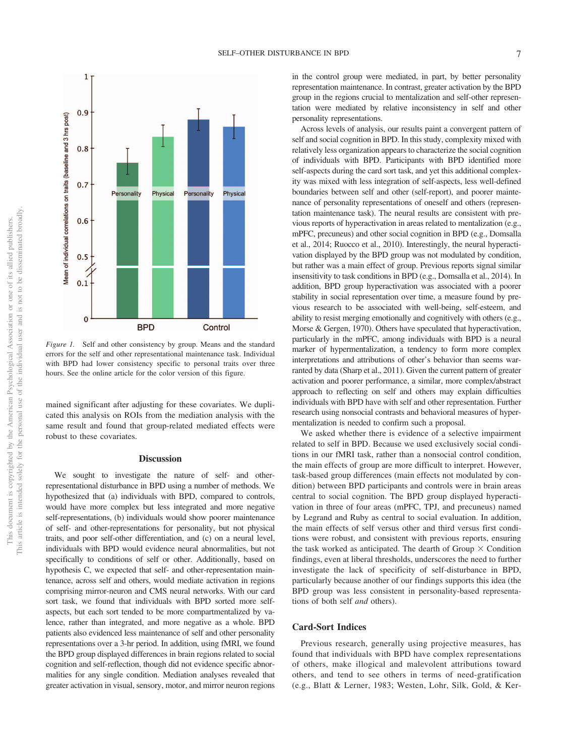

*Figure 1.* Self and other consistency by group. Means and the standard errors for the self and other representational maintenance task. Individual with BPD had lower consistency specific to personal traits over three hours. See the online article for the color version of this figure.

mained significant after adjusting for these covariates. We duplicated this analysis on ROIs from the mediation analysis with the same result and found that group-related mediated effects were robust to these covariates.

#### **Discussion**

We sought to investigate the nature of self- and otherrepresentational disturbance in BPD using a number of methods. We hypothesized that (a) individuals with BPD, compared to controls, would have more complex but less integrated and more negative self-representations, (b) individuals would show poorer maintenance of self- and other-representations for personality, but not physical traits, and poor self-other differentiation, and (c) on a neural level, individuals with BPD would evidence neural abnormalities, but not specifically to conditions of self or other. Additionally, based on hypothesis C, we expected that self- and other-representation maintenance, across self and others, would mediate activation in regions comprising mirror-neuron and CMS neural networks. With our card sort task, we found that individuals with BPD sorted more selfaspects, but each sort tended to be more compartmentalized by valence, rather than integrated, and more negative as a whole. BPD patients also evidenced less maintenance of self and other personality representations over a 3-hr period. In addition, using fMRI, we found the BPD group displayed differences in brain regions related to social cognition and self-reflection, though did not evidence specific abnormalities for any single condition. Mediation analyses revealed that greater activation in visual, sensory, motor, and mirror neuron regions in the control group were mediated, in part, by better personality representation maintenance. In contrast, greater activation by the BPD group in the regions crucial to mentalization and self-other representation were mediated by relative inconsistency in self and other personality representations.

Across levels of analysis, our results paint a convergent pattern of self and social cognition in BPD. In this study, complexity mixed with relatively less organization appears to characterize the social cognition of individuals with BPD. Participants with BPD identified more self-aspects during the card sort task, and yet this additional complexity was mixed with less integration of self-aspects, less well-defined boundaries between self and other (self-report), and poorer maintenance of personality representations of oneself and others (representation maintenance task). The neural results are consistent with previous reports of hyperactivation in areas related to mentalization (e.g., mPFC, precuneus) and other social cognition in BPD (e.g., Domsalla et al., 2014; Ruocco et al., 2010). Interestingly, the neural hyperactivation displayed by the BPD group was not modulated by condition, but rather was a main effect of group. Previous reports signal similar insensitivity to task conditions in BPD (e.g., Domsalla et al., 2014). In addition, BPD group hyperactivation was associated with a poorer stability in social representation over time, a measure found by previous research to be associated with well-being, self-esteem, and ability to resist merging emotionally and cognitively with others (e.g., Morse & Gergen, 1970). Others have speculated that hyperactivation, particularly in the mPFC, among individuals with BPD is a neural marker of hypermentalization, a tendency to form more complex interpretations and attributions of other's behavior than seems warranted by data (Sharp et al., 2011). Given the current pattern of greater activation and poorer performance, a similar, more complex/abstract approach to reflecting on self and others may explain difficulties individuals with BPD have with self and other representation. Further research using nonsocial contrasts and behavioral measures of hypermentalization is needed to confirm such a proposal.

We asked whether there is evidence of a selective impairment related to self in BPD. Because we used exclusively social conditions in our fMRI task, rather than a nonsocial control condition, the main effects of group are more difficult to interpret. However, task-based group differences (main effects not modulated by condition) between BPD participants and controls were in brain areas central to social cognition. The BPD group displayed hyperactivation in three of four areas (mPFC, TPJ, and precuneus) named by Legrand and Ruby as central to social evaluation. In addition, the main effects of self versus other and third versus first conditions were robust, and consistent with previous reports, ensuring the task worked as anticipated. The dearth of Group  $\times$  Condition findings, even at liberal thresholds, underscores the need to further investigate the lack of specificity of self-disturbance in BPD, particularly because another of our findings supports this idea (the BPD group was less consistent in personality-based representations of both self *and* others).

#### **Card-Sort Indices**

Previous research, generally using projective measures, has found that individuals with BPD have complex representations of others, make illogical and malevolent attributions toward others, and tend to see others in terms of need-gratification (e.g., Blatt & Lerner, 1983; Westen, Lohr, Silk, Gold, & Ker-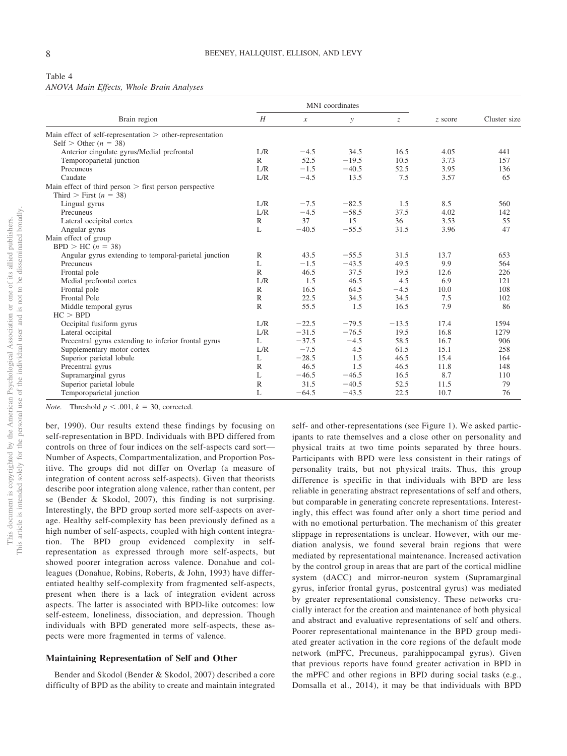Table 4 *ANOVA Main Effects, Whole Brain Analyses*

|                                                             |              | MNI coordinates            |               |                               |         |              |
|-------------------------------------------------------------|--------------|----------------------------|---------------|-------------------------------|---------|--------------|
| Brain region                                                | H            | $\boldsymbol{\mathcal{X}}$ | $\mathcal{Y}$ | $\ensuremath{\mathnormal{Z}}$ | z score | Cluster size |
| Main effect of self-representation $>$ other-representation |              |                            |               |                               |         |              |
| Self > Other ( $n = 38$ )                                   |              |                            |               |                               |         |              |
| Anterior cingulate gyrus/Medial prefrontal                  | L/R          | $-4.5$                     | 34.5          | 16.5                          | 4.05    | 441          |
| Temporoparietal junction                                    | $\mathbb{R}$ | 52.5                       | $-19.5$       | 10.5                          | 3.73    | 157          |
| Precuneus                                                   | L/R          | $-1.5$                     | $-40.5$       | 52.5                          | 3.95    | 136          |
| Caudate                                                     | L/R          | $-4.5$                     | 13.5          | 7.5                           | 3.57    | 65           |
| Main effect of third person $>$ first person perspective    |              |                            |               |                               |         |              |
| Third > First $(n = 38)$                                    |              |                            |               |                               |         |              |
| Lingual gyrus                                               | L/R          | $-7.5$                     | $-82.5$       | 1.5                           | 8.5     | 560          |
| Precuneus                                                   | L/R          | $-4.5$                     | $-58.5$       | 37.5                          | 4.02    | 142          |
| Lateral occipital cortex                                    | $\mathbb{R}$ | 37                         | 15            | 36                            | 3.53    | 55           |
| Angular gyrus                                               | L            | $-40.5$                    | $-55.5$       | 31.5                          | 3.96    | 47           |
| Main effect of group                                        |              |                            |               |                               |         |              |
| $BPD > HC (n = 38)$                                         |              |                            |               |                               |         |              |
| Angular gyrus extending to temporal-parietal junction       | $\mathbb{R}$ | 43.5                       | $-55.5$       | 31.5                          | 13.7    | 653          |
| Precuneus                                                   | L            | $-1.5$                     | $-43.5$       | 49.5                          | 9.9     | 564          |
| Frontal pole                                                | $\mathbb{R}$ | 46.5                       | 37.5          | 19.5                          | 12.6    | 226          |
| Medial prefrontal cortex                                    | L/R          | 1.5                        | 46.5          | 4.5                           | 6.9     | 121          |
| Frontal pole                                                | $\mathbb{R}$ | 16.5                       | 64.5          | $-4.5$                        | 10.0    | 108          |
| Frontal Pole                                                | $\mathbb{R}$ | 22.5                       | 34.5          | 34.5                          | 7.5     | 102          |
| Middle temporal gyrus                                       | $\mathbb{R}$ | 55.5                       | 1.5           | 16.5                          | 7.9     | 86           |
| HC > BPD                                                    |              |                            |               |                               |         |              |
| Occipital fusiform gyrus                                    | L/R          | $-22.5$                    | $-79.5$       | $-13.5$                       | 17.4    | 1594         |
| Lateral occipital                                           | L/R          | $-31.5$                    | $-76.5$       | 19.5                          | 16.8    | 1279         |
| Precentral gyrus extending to inferior frontal gyrus        | L            | $-37.5$                    | $-4.5$        | 58.5                          | 16.7    | 906          |
| Supplementary motor cortex                                  | L/R          | $-7.5$                     | 4.5           | 61.5                          | 15.1    | 258          |
| Superior parietal lobule                                    | L            | $-28.5$                    | 1.5           | 46.5                          | 15.4    | 164          |
| Precentral gyrus                                            | $\mathbb{R}$ | 46.5                       | 1.5           | 46.5                          | 11.8    | 148          |
| Supramarginal gyrus                                         | L            | $-46.5$                    | $-46.5$       | 16.5                          | 8.7     | 110          |
| Superior parietal lobule                                    | $\mathbb{R}$ | 31.5                       | $-40.5$       | 52.5                          | 11.5    | 79           |
| Temporoparietal junction                                    | L            | $-64.5$                    | $-43.5$       | 22.5                          | 10.7    | 76           |

*Note.* Threshold  $p < .001$ ,  $k = 30$ , corrected.

ber, 1990). Our results extend these findings by focusing on self-representation in BPD. Individuals with BPD differed from controls on three of four indices on the self-aspects card sort— Number of Aspects, Compartmentalization, and Proportion Positive. The groups did not differ on Overlap (a measure of integration of content across self-aspects). Given that theorists describe poor integration along valence, rather than content, per se (Bender & Skodol, 2007), this finding is not surprising. Interestingly, the BPD group sorted more self-aspects on average. Healthy self-complexity has been previously defined as a high number of self-aspects, coupled with high content integration. The BPD group evidenced complexity in selfrepresentation as expressed through more self-aspects, but showed poorer integration across valence. Donahue and colleagues (Donahue, Robins, Roberts, & John, 1993) have differentiated healthy self-complexity from fragmented self-aspects, present when there is a lack of integration evident across aspects. The latter is associated with BPD-like outcomes: low self-esteem, loneliness, dissociation, and depression. Though individuals with BPD generated more self-aspects, these aspects were more fragmented in terms of valence.

#### **Maintaining Representation of Self and Other**

Bender and Skodol (Bender & Skodol, 2007) described a core difficulty of BPD as the ability to create and maintain integrated self- and other-representations (see Figure 1). We asked participants to rate themselves and a close other on personality and physical traits at two time points separated by three hours. Participants with BPD were less consistent in their ratings of personality traits, but not physical traits. Thus, this group difference is specific in that individuals with BPD are less reliable in generating abstract representations of self and others, but comparable in generating concrete representations. Interestingly, this effect was found after only a short time period and with no emotional perturbation. The mechanism of this greater slippage in representations is unclear. However, with our mediation analysis, we found several brain regions that were mediated by representational maintenance. Increased activation by the control group in areas that are part of the cortical midline system (dACC) and mirror-neuron system (Supramarginal gyrus, inferior frontal gyrus, postcentral gyrus) was mediated by greater representational consistency. These networks crucially interact for the creation and maintenance of both physical and abstract and evaluative representations of self and others. Poorer representational maintenance in the BPD group mediated greater activation in the core regions of the default mode network (mPFC, Precuneus, parahippocampal gyrus). Given that previous reports have found greater activation in BPD in the mPFC and other regions in BPD during social tasks (e.g., Domsalla et al., 2014), it may be that individuals with BPD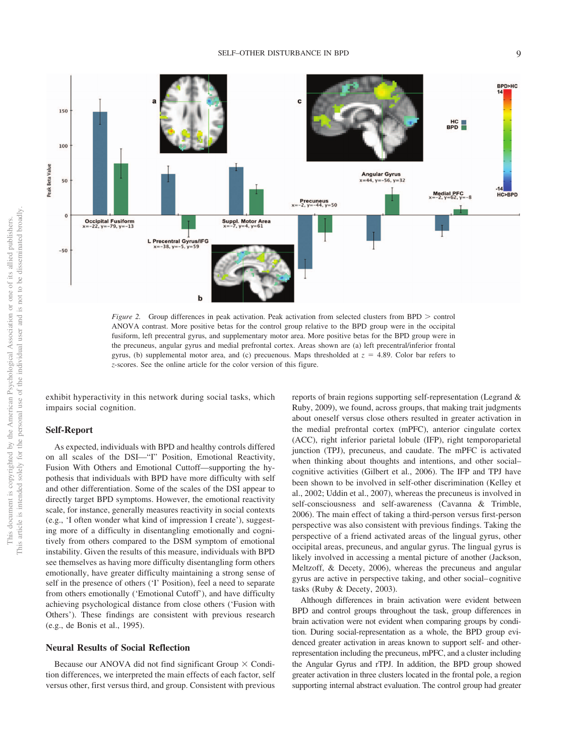

*Figure 2.* Group differences in peak activation. Peak activation from selected clusters from BPD > control ANOVA contrast. More positive betas for the control group relative to the BPD group were in the occipital fusiform, left precentral gyrus, and supplementary motor area. More positive betas for the BPD group were in the precuneus, angular gyrus and medial prefrontal cortex. Areas shown are (a) left precentral/inferior frontal gyrus, (b) supplemental motor area, and (c) precuenous. Maps thresholded at  $z = 4.89$ . Color bar refers to *z*-scores. See the online article for the color version of this figure.

exhibit hyperactivity in this network during social tasks, which impairs social cognition.

## **Self-Report**

As expected, individuals with BPD and healthy controls differed on all scales of the DSI—"I" Position, Emotional Reactivity, Fusion With Others and Emotional Cuttoff—supporting the hypothesis that individuals with BPD have more difficulty with self and other differentiation. Some of the scales of the DSI appear to directly target BPD symptoms. However, the emotional reactivity scale, for instance, generally measures reactivity in social contexts (e.g., 'I often wonder what kind of impression I create'), suggesting more of a difficulty in disentangling emotionally and cognitively from others compared to the DSM symptom of emotional instability. Given the results of this measure, individuals with BPD see themselves as having more difficulty disentangling form others emotionally, have greater difficulty maintaining a strong sense of self in the presence of others ('I' Position), feel a need to separate from others emotionally ('Emotional Cutoff'), and have difficulty achieving psychological distance from close others ('Fusion with Others'). These findings are consistent with previous research (e.g., de Bonis et al., 1995).

## **Neural Results of Social Reflection**

Because our ANOVA did not find significant Group  $\times$  Condition differences, we interpreted the main effects of each factor, self versus other, first versus third, and group. Consistent with previous

reports of brain regions supporting self-representation (Legrand & Ruby, 2009), we found, across groups, that making trait judgments about oneself versus close others resulted in greater activation in the medial prefrontal cortex (mPFC), anterior cingulate cortex (ACC), right inferior parietal lobule (IFP), right temporoparietal junction (TPJ), precuneus, and caudate. The mPFC is activated when thinking about thoughts and intentions, and other social– cognitive activities (Gilbert et al., 2006). The IFP and TPJ have been shown to be involved in self-other discrimination (Kelley et al., 2002; Uddin et al., 2007), whereas the precuneus is involved in self-consciousness and self-awareness (Cavanna & Trimble, 2006). The main effect of taking a third-person versus first-person perspective was also consistent with previous findings. Taking the perspective of a friend activated areas of the lingual gyrus, other occipital areas, precuneus, and angular gyrus. The lingual gyrus is likely involved in accessing a mental picture of another (Jackson, Meltzoff, & Decety, 2006), whereas the precuneus and angular gyrus are active in perspective taking, and other social– cognitive tasks (Ruby & Decety, 2003).

Although differences in brain activation were evident between BPD and control groups throughout the task, group differences in brain activation were not evident when comparing groups by condition. During social-representation as a whole, the BPD group evidenced greater activation in areas known to support self- and otherrepresentation including the precuneus, mPFC, and a cluster including the Angular Gyrus and rTPJ. In addition, the BPD group showed greater activation in three clusters located in the frontal pole, a region supporting internal abstract evaluation. The control group had greater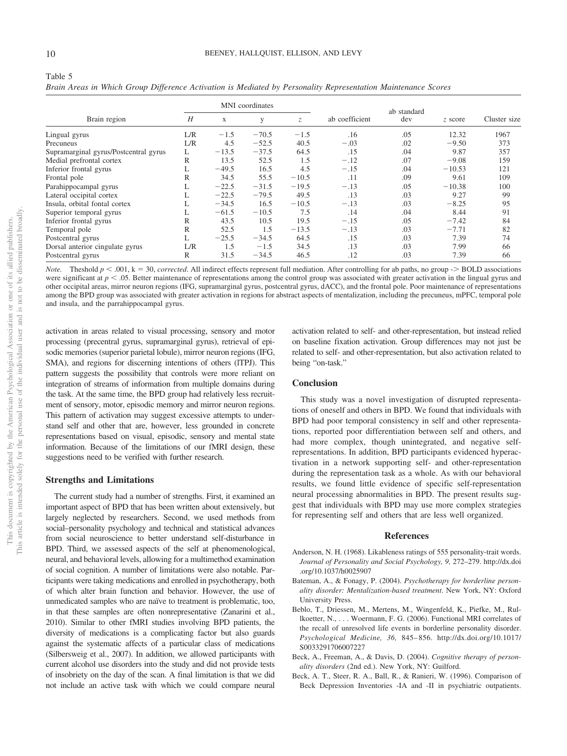*Brain Areas in Which Group Difference Activation is Mediated by Personality Representation Maintenance Scores*

|                                       |     |         | MNI coordinates |             |                |                    |          |              |
|---------------------------------------|-----|---------|-----------------|-------------|----------------|--------------------|----------|--------------|
| Brain region                          | H   | X       | y               | $Z_{\cdot}$ | ab coefficient | ab standard<br>dev | z score  | Cluster size |
| Lingual gyrus                         | L/R | $-1.5$  | $-70.5$         | $-1.5$      | .16            | .05                | 12.32    | 1967         |
| Precuneus                             | L/R | 4.5     | $-52.5$         | 40.5        | $-.03$         | .02                | $-9.50$  | 373          |
| Supramarginal gyrus/Postcentral gyrus | L   | $-13.5$ | $-37.5$         | 64.5        | .15            | .04                | 9.87     | 357          |
| Medial prefrontal cortex              | R   | 13.5    | 52.5            | 1.5         | $-.12$         | .07                | $-9.08$  | 159          |
| Inferior frontal gyrus                | L   | $-49.5$ | 16.5            | 4.5         | $-.15$         | .04                | $-10.53$ | 121          |
| Frontal pole                          | R   | 34.5    | 55.5            | $-10.5$     | .11            | .09                | 9.61     | 109          |
| Parahippocampal gyrus                 |     | $-22.5$ | $-31.5$         | $-19.5$     | $-.13$         | .05                | $-10.38$ | 100          |
| Lateral occipital cortex              |     | $-22.5$ | $-79.5$         | 49.5        | .13            | .03                | 9.27     | 99           |
| Insula, orbital fontal cortex         |     | $-34.5$ | 16.5            | $-10.5$     | $-.13$         | .03                | $-8.25$  | 95           |
| Superior temporal gyrus               |     | $-61.5$ | $-10.5$         | 7.5         | .14            | .04                | 8.44     | 91           |
| Inferior frontal gyrus                | R   | 43.5    | 10.5            | 19.5        | $-.15$         | .05                | $-7.42$  | 84           |
| Temporal pole                         | R   | 52.5    | 1.5             | $-13.5$     | $-.13$         | .03                | $-7.71$  | 82           |
| Postcentral gyrus                     | L   | $-25.5$ | $-34.5$         | 64.5        | .15            | .03                | 7.39     | 74           |
| Dorsal anterior cingulate gyrus       | L/R | 1.5     | $-1.5$          | 34.5        | .13            | .03                | 7.99     | 66           |
| Postcentral gyrus                     | R   | 31.5    | $-34.5$         | 46.5        | .12            | .03                | 7.39     | 66           |

*Note.* Theshold  $p < .001$ ,  $k = 30$ , *corrected*. All indirect effects represent full mediation. After controlling for ab paths, no group -> BOLD associations were significant at  $p < .05$ . Better maintenance of representations among the control group was associated with greater activation in the lingual gyrus and other occipital areas, mirror neuron regions (IFG, supramarginal gyrus, postcentral gyrus, dACC), and the frontal pole. Poor maintenance of representations among the BPD group was associated with greater activation in regions for abstract aspects of mentalization, including the precuneus, mPFC, temporal pole and insula, and the parrahippocampal gyrus.

activation in areas related to visual processing, sensory and motor processing (precentral gyrus, supramarginal gyrus), retrieval of episodic memories (superior parietal lobule), mirror neuron regions (IFG, SMA), and regions for discerning intentions of others (ITPJ). This pattern suggests the possibility that controls were more reliant on integration of streams of information from multiple domains during the task. At the same time, the BPD group had relatively less recruitment of sensory, motor, episodic memory and mirror neuron regions. This pattern of activation may suggest excessive attempts to understand self and other that are, however, less grounded in concrete representations based on visual, episodic, sensory and mental state information. Because of the limitations of our fMRI design, these suggestions need to be verified with further research.

#### **Strengths and Limitations**

The current study had a number of strengths. First, it examined an important aspect of BPD that has been written about extensively, but largely neglected by researchers. Second, we used methods from social–personality psychology and technical and statistical advances from social neuroscience to better understand self-disturbance in BPD. Third, we assessed aspects of the self at phenomenological, neural, and behavioral levels, allowing for a multimethod examination of social cognition. A number of limitations were also notable. Participants were taking medications and enrolled in psychotherapy, both of which alter brain function and behavior. However, the use of unmedicated samples who are naïve to treatment is problematic, too, in that these samples are often nonrepresentative (Zanarini et al., 2010). Similar to other fMRI studies involving BPD patients, the diversity of medications is a complicating factor but also guards against the systematic affects of a particular class of medications (Silbersweig et al., 2007). In addition, we allowed participants with current alcohol use disorders into the study and did not provide tests of insobriety on the day of the scan. A final limitation is that we did not include an active task with which we could compare neural

activation related to self- and other-representation, but instead relied on baseline fixation activation. Group differences may not just be related to self- and other-representation, but also activation related to being "on-task."

## **Conclusion**

This study was a novel investigation of disrupted representations of oneself and others in BPD. We found that individuals with BPD had poor temporal consistency in self and other representations, reported poor differentiation between self and others, and had more complex, though unintegrated, and negative selfrepresentations. In addition, BPD participants evidenced hyperactivation in a network supporting self- and other-representation during the representation task as a whole. As with our behavioral results, we found little evidence of specific self-representation neural processing abnormalities in BPD. The present results suggest that individuals with BPD may use more complex strategies for representing self and others that are less well organized.

#### **References**

- Anderson, N. H. (1968). Likableness ratings of 555 personality-trait words. *Journal of Personality and Social Psychology, 9,* 272–279. http://dx.doi .org/10.1037/h0025907
- Bateman, A., & Fonagy, P. (2004). *Psychotherapy for borderline personality disorder: Mentalization-based treatment*. New York, NY: Oxford University Press.
- Beblo, T., Driessen, M., Mertens, M., Wingenfeld, K., Piefke, M., Rullkoetter, N.,... Woermann, F. G. (2006). Functional MRI correlates of the recall of unresolved life events in borderline personality disorder. *Psychological Medicine, 36,* 845– 856. http://dx.doi.org/10.1017/ S0033291706007227
- Beck, A., Freeman, A., & Davis, D. (2004). *Cognitive therapy of personality disorders* (2nd ed.). New York, NY: Guilford.
- Beck, A. T., Steer, R. A., Ball, R., & Ranieri, W. (1996). Comparison of Beck Depression Inventories -IA and -II in psychiatric outpatients.

Table 5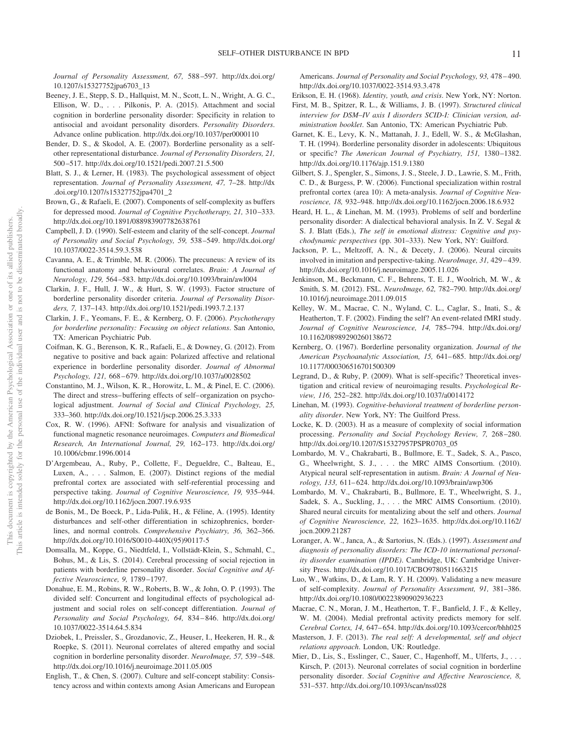*Journal of Personality Assessment, 67,* 588 –597. http://dx.doi.org/ 10.1207/s15327752jpa6703\_13

- Beeney, J. E., Stepp, S. D., Hallquist, M. N., Scott, L. N., Wright, A. G. C., Ellison, W. D.,... Pilkonis, P. A. (2015). Attachment and social cognition in borderline personality disorder: Specificity in relation to antisocial and avoidant personality disorders. *Personality Disorders*. Advance online publication. http://dx.doi.org/10.1037/per0000110
- Bender, D. S., & Skodol, A. E. (2007). Borderline personality as a selfother representational disturbance. *Journal of Personality Disorders, 21,* 500 –517. http://dx.doi.org/10.1521/pedi.2007.21.5.500
- Blatt, S. J., & Lerner, H. (1983). The psychological assessment of object representation. *Journal of Personality Assessment, 47,* 7–28. http://dx .doi.org/10.1207/s15327752jpa4701\_2
- Brown, G., & Rafaeli, E. (2007). Components of self-complexity as buffers for depressed mood. *Journal of Cognitive Psychotherapy, 21,* 310 –333. http://dx.doi.org/10.1891/088983907782638761
- Campbell, J. D. (1990). Self-esteem and clarity of the self-concept. *Journal of Personality and Social Psychology, 59,* 538 –549. http://dx.doi.org/ 10.1037/0022-3514.59.3.538
- Cavanna, A. E., & Trimble, M. R. (2006). The precuneus: A review of its functional anatomy and behavioural correlates. *Brain: A Journal of Neurology, 129,* 564 –583. http://dx.doi.org/10.1093/brain/awl004
- Clarkin, J. F., Hull, J. W., & Hurt, S. W. (1993). Factor structure of borderline personality disorder criteria. *Journal of Personality Disorders, 7,* 137–143. http://dx.doi.org/10.1521/pedi.1993.7.2.137
- Clarkin, J. F., Yeomans, F. E., & Kernberg, O. F. (2006). *Psychotherapy for borderline personality: Focusing on object relations*. San Antonio, TX: American Psychiatric Pub.
- Coifman, K. G., Berenson, K. R., Rafaeli, E., & Downey, G. (2012). From negative to positive and back again: Polarized affective and relational experience in borderline personality disorder. *Journal of Abnormal Psychology, 121,* 668 – 679. http://dx.doi.org/10.1037/a0028502
- Constantino, M. J., Wilson, K. R., Horowitz, L. M., & Pinel, E. C. (2006). The direct and stress– buffering effects of self– organization on psychological adjustment. *Journal of Social and Clinical Psychology, 25,* 333–360. http://dx.doi.org/10.1521/jscp.2006.25.3.333
- Cox, R. W. (1996). AFNI: Software for analysis and visualization of functional magnetic resonance neuroimages. *Computers and Biomedical Research, An International Journal, 29,* 162–173. http://dx.doi.org/ 10.1006/cbmr.1996.0014
- D'Argembeau, A., Ruby, P., Collette, F., Degueldre, C., Balteau, E., Luxen, A., . . . Salmon, E. (2007). Distinct regions of the medial prefrontal cortex are associated with self-referential processing and perspective taking. *Journal of Cognitive Neuroscience, 19,* 935–944. http://dx.doi.org/10.1162/jocn.2007.19.6.935
- de Bonis, M., De Boeck, P., Lida-Pulik, H., & Féline, A. (1995). Identity disturbances and self-other differentiation in schizophrenics, borderlines, and normal controls. *Comprehensive Psychiatry, 36,* 362–366. http://dx.doi.org/10.1016/S0010-440X(95)90117-5
- Domsalla, M., Koppe, G., Niedtfeld, I., Vollstädt-Klein, S., Schmahl, C., Bohus, M., & Lis, S. (2014). Cerebral processing of social rejection in patients with borderline personality disorder. *Social Cognitive and Affective Neuroscience, 9,* 1789 –1797.
- Donahue, E. M., Robins, R. W., Roberts, B. W., & John, O. P. (1993). The divided self: Concurrent and longitudinal effects of psychological adjustment and social roles on self-concept differentiation. *Journal of Personality and Social Psychology, 64,* 834 – 846. http://dx.doi.org/ 10.1037/0022-3514.64.5.834
- Dziobek, I., Preissler, S., Grozdanovic, Z., Heuser, I., Heekeren, H. R., & Roepke, S. (2011). Neuronal correlates of altered empathy and social cognition in borderline personality disorder. *NeuroImage, 57,* 539 –548. http://dx.doi.org/10.1016/j.neuroimage.2011.05.005
- English, T., & Chen, S. (2007). Culture and self-concept stability: Consistency across and within contexts among Asian Americans and European

Americans. *Journal of Personality and Social Psychology, 93,* 478 – 490. http://dx.doi.org/10.1037/0022-3514.93.3.478

- Erikson, E. H. (1968). *Identity, youth, and crisis*. New York, NY: Norton.
- First, M. B., Spitzer, R. L., & Williams, J. B. (1997). *Structured clinical interview for DSM–IV axis I disorders SCID-I: Clinician version, administration booklet*. San Antonio, TX: American Psychiatric Pub.
- Garnet, K. E., Levy, K. N., Mattanah, J. J., Edell, W. S., & McGlashan, T. H. (1994). Borderline personality disorder in adolescents: Ubiquitous or specific? *The American Journal of Psychiatry, 151,* 1380-1382. http://dx.doi.org/10.1176/ajp.151.9.1380
- Gilbert, S. J., Spengler, S., Simons, J. S., Steele, J. D., Lawrie, S. M., Frith, C. D., & Burgess, P. W. (2006). Functional specialization within rostral prefrontal cortex (area 10): A meta-analysis. *Journal of Cognitive Neuroscience, 18,* 932–948. http://dx.doi.org/10.1162/jocn.2006.18.6.932
- Heard, H. L., & Linehan, M. M. (1993). Problems of self and borderline personality disorder: A dialectical behavioral analysis. In Z. V. Segal & S. J. Blatt (Eds.), *The self in emotional distress: Cognitive and psychodynamic perspectives* (pp. 301–333). New York, NY: Guilford.
- Jackson, P. L., Meltzoff, A. N., & Decety, J. (2006). Neural circuits involved in imitation and perspective-taking. *NeuroImage, 31,* 429 – 439. http://dx.doi.org/10.1016/j.neuroimage.2005.11.026
- Jenkinson, M., Beckmann, C. F., Behrens, T. E. J., Woolrich, M. W., & Smith, S. M. (2012). FSL. *NeuroImage, 62,* 782–790. http://dx.doi.org/ 10.1016/j.neuroimage.2011.09.015
- Kelley, W. M., Macrae, C. N., Wyland, C. L., Caglar, S., Inati, S., & Heatherton, T. F. (2002). Finding the self? An event-related fMRI study. *Journal of Cognitive Neuroscience, 14,* 785–794. http://dx.doi.org/ 10.1162/08989290260138672
- Kernberg, O. (1967). Borderline personality organization. *Journal of the American Psychoanalytic Association, 15,* 641– 685. http://dx.doi.org/ 10.1177/000306516701500309
- Legrand, D., & Ruby, P. (2009). What is self-specific? Theoretical investigation and critical review of neuroimaging results. *Psychological Review, 116,* 252–282. http://dx.doi.org/10.1037/a0014172
- Linehan, M. (1993). *Cognitive-behavioral treatment of borderline personality disorder*. New York, NY: The Guilford Press.
- Locke, K. D. (2003). H as a measure of complexity of social information processing. *Personality and Social Psychology Review, 7,* 268 –280. http://dx.doi.org/10.1207/S15327957PSPR0703\_05
- Lombardo, M. V., Chakrabarti, B., Bullmore, E. T., Sadek, S. A., Pasco, G., Wheelwright, S. J., . . . the MRC AIMS Consortium. (2010). Atypical neural self-representation in autism. *Brain: A Journal of Neurology, 133,* 611– 624. http://dx.doi.org/10.1093/brain/awp306
- Lombardo, M. V., Chakrabarti, B., Bullmore, E. T., Wheelwright, S. J., Sadek, S. A., Suckling, J., . . . the MRC AIMS Consortium. (2010). Shared neural circuits for mentalizing about the self and others. *Journal of Cognitive Neuroscience, 22,* 1623–1635. http://dx.doi.org/10.1162/ jocn.2009.21287
- Loranger, A. W., Janca, A., & Sartorius, N. (Eds.). (1997). *Assessment and diagnosis of personality disorders: The ICD-10 international personality disorder examination (IPDE)*. Cambridge, UK: Cambridge University Press. http://dx.doi.org/10.1017/CBO9780511663215
- Luo, W., Watkins, D., & Lam, R. Y. H. (2009). Validating a new measure of self-complexity. *Journal of Personality Assessment, 91,* 381–386. http://dx.doi.org/10.1080/00223890902936223
- Macrae, C. N., Moran, J. M., Heatherton, T. F., Banfield, J. F., & Kelley, W. M. (2004). Medial prefrontal activity predicts memory for self. *Cerebral Cortex, 14,* 647– 654. http://dx.doi.org/10.1093/cercor/bhh025
- Masterson, J. F. (2013). *The real self: A developmental, self and object relations approach*. London, UK: Routledge.
- Mier, D., Lis, S., Esslinger, C., Sauer, C., Hagenhoff, M., Ulferts, J., ... Kirsch, P. (2013). Neuronal correlates of social cognition in borderline personality disorder. *Social Cognitive and Affective Neuroscience, 8,* 531–537. http://dx.doi.org/10.1093/scan/nss028